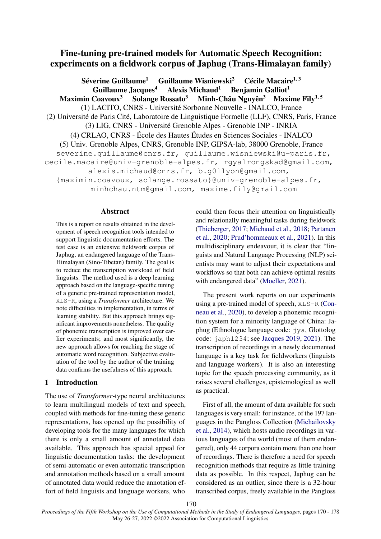# Fine-tuning pre-trained models for Automatic Speech Recognition: experiments on a fieldwork corpus of Japhug (Trans-Himalayan family)

Séverine Guillaume<sup>1</sup> Guillaume Wisniewski<sup>2</sup> Cécile Macaire<sup>1, 3</sup> Guillaume Jacques<sup>4</sup> Alexis Michaud<sup>1</sup> Benjamin Galliot<sup>1</sup><br>Coavoux<sup>3</sup> Solange Rossato<sup>3</sup> Minh-Châu Nguyên<sup>3</sup> Maxime Fily<sup>1,5</sup> Maximin Coavoux<sup>3</sup> Solange Rossato<sup>3</sup> (1) LACITO, CNRS - Université Sorbonne Nouvelle - INALCO, France (2) Université de Paris Cité, Laboratoire de Linguistique Formelle (LLF), CNRS, Paris, France (3) LIG, CNRS - Université Grenoble Alpes - Grenoble INP - INRIA (4) CRLAO, CNRS - École des Hautes Études en Sciences Sociales - INALCO (5) Univ. Grenoble Alpes, CNRS, Grenoble INP, GIPSA-lab, 38000 Grenoble, France severine.quillaume@cnrs.fr, quillaume.wisniewski@u-paris.fr, cecile.macaire@univ-grenoble-alpes.fr, rgyalrongskad@gmail.com, alexis.michaud@cnrs.fr, b.g01lyon@gmail.com, {maximin.coavoux, solange.rossato}@univ-grenoble-alpes.fr, minhchau.ntm@gmail.com, maxime.fily@gmail.com

#### Abstract

This is a report on results obtained in the development of speech recognition tools intended to support linguistic documentation efforts. The test case is an extensive fieldwork corpus of Japhug, an endangered language of the Trans-Himalayan (Sino-Tibetan) family. The goal is to reduce the transcription workload of field linguists. The method used is a deep learning approach based on the language-specific tuning of a generic pre-trained representation model, XLS-R, using a *Transformer* architecture. We note difficulties in implementation, in terms of learning stability. But this approach brings significant improvements nonetheless. The quality of phonemic transcription is improved over earlier experiments; and most significantly, the new approach allows for reaching the stage of automatic word recognition. Subjective evaluation of the tool by the author of the training data confirms the usefulness of this approach.

## 1 Introduction

The use of *Transformer*-type neural architectures to learn multilingual models of text and speech, coupled with methods for fine-tuning these generic representations, has opened up the possibility of developing tools for the many languages for which there is only a small amount of annotated data available. This approach has special appeal for linguistic documentation tasks: the development of semi-automatic or even automatic transcription and annotation methods based on a small amount of annotated data would reduce the annotation effort of field linguists and language workers, who

could then focus their attention on linguistically and relationally meaningful tasks during fieldwork (Thieberger, 2017; Michaud et al., 2018; Partanen et al., 2020; Prud'hommeaux et al., 2021). In this multidisciplinary endeavour, it is clear that "linguists and Natural Language Processing (NLP) scientists may want to adjust their expectations and workflows so that both can achieve optimal results with endangered data" (Moeller, 2021).

The present work reports on our experiments using a pre-trained model of speech, XLS-R (Conneau et al., 2020), to develop a phonemic recognition system for a minority language of China: Japhug (Ethnologue language code: jya, Glottolog code: japh1234; see Jacques 2019, 2021). The transcription of recordings in a newly documented language is a key task for fieldworkers (linguists and language workers). It is also an interesting topic for the speech processing community, as it raises several challenges, epistemological as well as practical.

First of all, the amount of data available for such languages is very small: for instance, of the 197 languages in the Pangloss Collection (Michailovsky et al., 2014), which hosts audio recordings in various languages of the world (most of them endangered), only 44 corpora contain more than one hour of recordings. There is therefore a need for speech recognition methods that require as little training data as possible. In this respect, Japhug can be considered as an outlier, since there is a 32-hour transcribed corpus, freely available in the Pangloss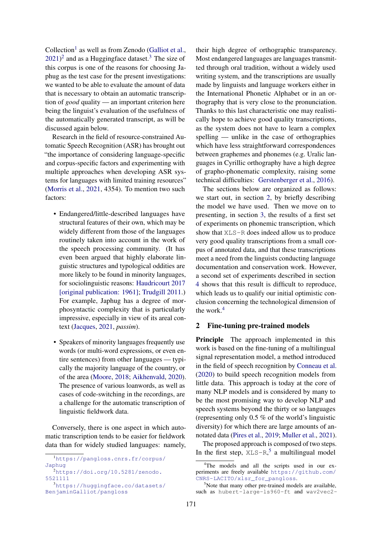Collection<sup>1</sup> as well as from Zenodo (Galliot et al.,  $2021$ <sup>2</sup> and as a Huggingface dataset.<sup>3</sup> The size of this corpus is one of the reasons for choosing Japhug as the test case for the present investigations: we wanted to be able to evaluate the amount of data that is necessary to obtain an automatic transcription of *good* quality — an important criterion here being the linguist's evaluation of the usefulness of the automatically generated transcript, as will be discussed again below.

Research in the field of resource-constrained Automatic Speech Recognition (ASR) has brought out "the importance of considering language-specific and corpus-specific factors and experimenting with multiple approaches when developing ASR systems for languages with limited training resources" (Morris et al., 2021, 4354). To mention two such factors:

- Endangered/little-described languages have structural features of their own, which may be widely different from those of the languages routinely taken into account in the work of the speech processing community. (It has even been argued that highly elaborate linguistic structures and typological oddities are more likely to be found in minority languages, for sociolinguistic reasons: Haudricourt 2017 [original publication: 1961]; Trudgill 2011.) For example, Japhug has a degree of morphosyntactic complexity that is particularly impressive, especially in view of its areal context (Jacques, 2021, *passim*).
- Speakers of minority languages frequently use words (or multi-word expressions, or even entire sentences) from other languages — typically the majority language of the country, or of the area (Moore, 2018; Aikhenvald, 2020). The presence of various loanwords, as well as cases of code-switching in the recordings, are a challenge for the automatic transcription of linguistic fieldwork data.

Conversely, there is one aspect in which automatic transcription tends to be easier for fieldwork data than for widely studied languages: namely, their high degree of orthographic transparency. Most endangered languages are languages transmitted through oral tradition, without a widely used writing system, and the transcriptions are usually made by linguists and language workers either in the International Phonetic Alphabet or in an orthography that is very close to the pronunciation. Thanks to this last characteristic one may realistically hope to achieve good quality transcriptions, as the system does not have to learn a complex spelling — unlike in the case of orthographies which have less straightforward correspondences between graphemes and phonemes (e.g. Uralic languages in Cyrillic orthography have a high degree of grapho-phonematic complexity, raising some technical difficulties: Gerstenberger et al., 2016).

The sections below are organized as follows: we start out, in section 2, by briefly describing the model we have used. Then we move on to presenting, in section 3, the results of a first set of experiments on phonemic transcription, which show that XLS-R does indeed allow us to produce very good quality transcriptions from a small corpus of annotated data, and that these transcriptions meet a need from the linguists conducting language documentation and conservation work. However, a second set of experiments described in section 4 shows that this result is difficult to reproduce, which leads us to qualify our initial optimistic conclusion concerning the technological dimension of the work.<sup>4</sup>

## 2 Fine-tuning pre-trained models

Principle The approach implemented in this work is based on the fine-tuning of a multilingual signal representation model, a method introduced in the field of speech recognition by Conneau et al. (2020) to build speech recognition models from little data. This approach is today at the core of many NLP models and is considered by many to be the most promising way to develop NLP and speech systems beyond the thirty or so languages (representing only 0.5 % of the world's linguistic diversity) for which there are large amounts of annotated data (Pires et al., 2019; Muller et al., 2021).

The proposed approach is composed of two steps. In the first step,  $XLS-R$ ,<sup>5</sup> a multilingual model

<sup>1</sup>https://pangloss.cnrs.fr/corpus/ Japhug

 $^{2}$ https://doi.org/10.5281/zenodo. 5521111

<sup>3</sup>https://huggingface.co/datasets/ BenjaminGalliot/pangloss

<sup>&</sup>lt;sup>4</sup>The models and all the scripts used in our experiments are freely available https://github.com/ CNRS-LACITO/xlsr\_for\_pangloss.

 $5$ Note that many other pre-trained models are available, such as hubert-large-ls960-ft and wav2vec2-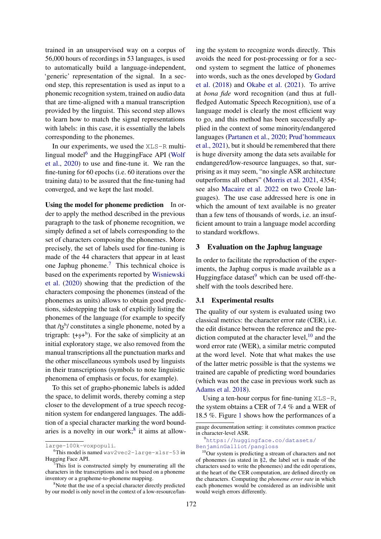trained in an unsupervised way on a corpus of 56,000 hours of recordings in 53 languages, is used to automatically build a language-independent, 'generic' representation of the signal. In a second step, this representation is used as input to a phonemic recognition system, trained on audio data that are time-aligned with a manual transcription provided by the linguist. This second step allows to learn how to match the signal representations with labels: in this case, it is essentially the labels corresponding to the phonemes.

In our experiments, we used the XLS-R multilingual model<sup>6</sup> and the HuggingFace API (Wolf et al., 2020) to use and fine-tune it. We ran the fine-tuning for 60 epochs (i.e. 60 iterations over the training data) to be assured that the fine-tuning had converged, and we kept the last model.

Using the model for phoneme prediction In order to apply the method described in the previous paragraph to the task of phoneme recognition, we simply defined a set of labels corresponding to the set of characters composing the phonemes. More precisely, the set of labels used for fine-tuning is made of the 44 characters that appear in at least one Japhug phoneme.<sup>7</sup> This technical choice is based on the experiments reported by Wisniewski et al. (2020) showing that the prediction of the characters composing the phonemes (instead of the phonemes as units) allows to obtain good predictions, sidestepping the task of explicitly listing the phonemes of the language (for example to specify that  $\frac{f_5^h}{\cosh^2}$  constitutes a single phoneme, noted by a trigraph:  $[t-s+<sup>h</sup>)$ . For the sake of simplicity at an initial exploratory stage, we also removed from the manual transcriptions all the punctuation marks and the other miscellaneous symbols used by linguists in their transcriptions (symbols to note linguistic phenomena of emphasis or focus, for example).

To this set of grapho-phonemic labels is added the space, to delimit words, thereby coming a step closer to the development of a true speech recognition system for endangered languages. The addition of a special character marking the word boundaries is a novelty in our work; $8$  it aims at allowing the system to recognize words directly. This avoids the need for post-processing or for a second system to segment the lattice of phonemes into words, such as the ones developed by Godard et al. (2018) and Okabe et al. (2021). To arrive at *bona fide* word recognition (and thus at fullfledged Automatic Speech Recognition), use of a language model is clearly the most efficient way to go, and this method has been successfully applied in the context of some minority/endangered languages (Partanen et al., 2020; Prud'hommeaux et al., 2021), but it should be remembered that there is huge diversity among the data sets available for endangered/low-resource languages, so that, surprising as it may seem, "no single ASR architecture outperforms all others" (Morris et al. 2021, 4354; see also Macaire et al. 2022 on two Creole languages). The use case addressed here is one in which the amount of text available is no greater than a few tens of thousands of words, i.e. an insufficient amount to train a language model according to standard workflows.

#### 3 Evaluation on the Japhug language

In order to facilitate the reproduction of the experiments, the Japhug corpus is made available as a Huggingface dataset $9$  which can be used off-theshelf with the tools described here.

### 3.1 Experimental results

The quality of our system is evaluated using two classical metrics: the character error rate (CER), i.e. the edit distance between the reference and the prediction computed at the character level,  $10$  and the word error rate (WER), a similar metric computed at the word level. Note that what makes the use of the latter metric possible is that the systems we trained are capable of predicting word boundaries (which was not the case in previous work such as Adams et al. 2018).

Using a ten-hour corpus for fine-tuning  $XLS-R$ , the system obtains a CER of 7.4 % and a WER of 18.5 %. Figure 1 shows how the performances of a

```
9https://huggingface.co/datasets/
BenjaminGalliot/pangloss
```
large-100k-voxpopuli.

 $6$ This model is named wav2vec2-large-xlsr-53 in Hugging Face API.

This list is constructed simply by enumerating all the characters in the transcriptions and is not based on a phoneme inventory or a grapheme-to-phoneme mapping.

<sup>&</sup>lt;sup>8</sup>Note that the use of a special character directly predicted by our model is only novel in the context of a low-resource/lan-

guage documentation setting: it constitutes common practice in character-level ASR.

<sup>&</sup>lt;sup>10</sup>Our system is predicting a stream of characters and not of phonemes (as stated in §2, the label set is made of the characters used to write the phonemes) and the edit operations, at the heart of the CER computation, are defined directly on the characters. Computing the *phoneme error rate* in which each phonemes would be considered as an indivisible unit would weigh errors differently.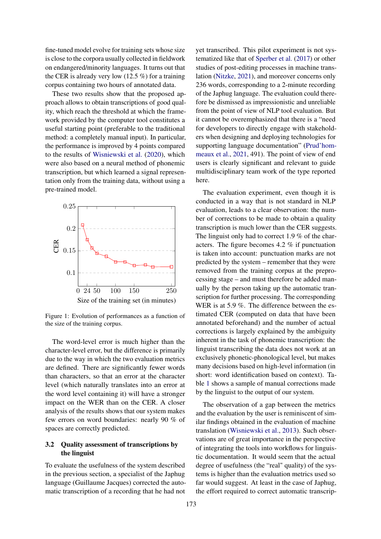fine-tuned model evolve for training sets whose size is close to the corpora usually collected in fieldwork on endangered/minority languages. It turns out that the CER is already very low  $(12.5\%)$  for a training corpus containing two hours of annotated data.

These two results show that the proposed approach allows to obtain transcriptions of good quality, which reach the threshold at which the framework provided by the computer tool constitutes a useful starting point (preferable to the traditional method: a completely manual input). In particular, the performance is improved by 4 points compared to the results of Wisniewski et al. (2020), which were also based on a neural method of phonemic transcription, but which learned a signal representation only from the training data, without using a pre-trained model.



Figure 1: Evolution of performances as a function of the size of the training corpus.

The word-level error is much higher than the character-level error, but the difference is primarily due to the way in which the two evaluation metrics are defined. There are significantly fewer words than characters, so that an error at the character level (which naturally translates into an error at the word level containing it) will have a stronger impact on the WER than on the CER. A closer analysis of the results shows that our system makes few errors on word boundaries: nearly 90 % of spaces are correctly predicted.

## 3.2 Quality assessment of transcriptions by the linguist

To evaluate the usefulness of the system described in the previous section, a specialist of the Japhug language (Guillaume Jacques) corrected the automatic transcription of a recording that he had not

yet transcribed. This pilot experiment is not systematized like that of Sperber et al. (2017) or other studies of post-editing processes in machine translation (Nitzke, 2021), and moreover concerns only 236 words, corresponding to a 2-minute recording of the Japhug language. The evaluation could therefore be dismissed as impressionistic and unreliable from the point of view of NLP tool evaluation. But it cannot be overemphasized that there is a "need for developers to directly engage with stakeholders when designing and deploying technologies for supporting language documentation" (Prud'hommeaux et al., 2021, 491). The point of view of end users is clearly significant and relevant to guide multidisciplinary team work of the type reported here.

The evaluation experiment, even though it is conducted in a way that is not standard in NLP evaluation, leads to a clear observation: the number of corrections to be made to obtain a quality transcription is much lower than the CER suggests. The linguist only had to correct 1.9 % of the characters. The figure becomes 4.2 % if punctuation is taken into account: punctuation marks are not predicted by the system – remember that they were removed from the training corpus at the preprocessing stage – and must therefore be added manually by the person taking up the automatic transcription for further processing. The corresponding WER is at 5.9 %. The difference between the estimated CER (computed on data that have been annotated beforehand) and the number of actual corrections is largely explained by the ambiguity inherent in the task of phonemic transcription: the linguist transcribing the data does not work at an exclusively phonetic-phonological level, but makes many decisions based on high-level information (in short: word identification based on context). Table 1 shows a sample of manual corrections made by the linguist to the output of our system.

The observation of a gap between the metrics and the evaluation by the user is reminiscent of similar findings obtained in the evaluation of machine translation (Wisniewski et al., 2013). Such observations are of great importance in the perspective of integrating the tools into workflows for linguistic documentation. It would seem that the actual degree of usefulness (the "real" quality) of the systems is higher than the evaluation metrics used so far would suggest. At least in the case of Japhug, the effort required to correct automatic transcrip-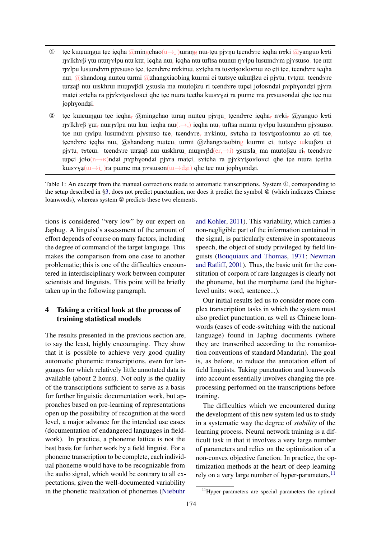- **①** tɕe kuʁungu tɕe iɕqha @mingchao(u→
urang nu tɕu pjɤŋu tɕendɤre iɕqha nɤki @yanguo kɤti r<sub>t</sub>γkhγβ γω nωrτείρυ nω kω, içqha nω, içqha nω ωftsa nunω rτείρυ lusundγm pjγsωso. tçe nω ryslpu lusundxm pjysuso tçe, tçendxre nxkinu, sxtçha ra tosxtşoʁloʁnu zo çti tçe, tçendxre içqha nu, @shandong nutçu urmi @zhangxiaobing kurmi ci tutsγe ukuβzu ci pjγtu, tγtçu. tçendγre urzaβ nu uskhru munγβdi χsusla ma mutoβzu ri tçendγre unci jołoʁndʑi nγphγondʑi pjγra matei sytcha ra pjykytsoʁloʁci qhe tee nura teetha kuɪsɤyzi ra pume ma nʏsuɪsondzi qhe tee nu jophɣondʑi.
- 2 tçe kuçungu tçe içqha, @mingchao uran nutçu pjɤŋu tçendɤre içqha, nɤki, @yanguo kɤti r<del>j</del>γlkhγβ γω<sub>τ</sub> nωrjγlpu nɯ kɯ, içqha nɯ(. →,) içqha nɯ<sub>τ</sub> ɯftsa nunɯ rjγlpu lusɯndɤm pjɤsɯso. tçe nu rγslpu lusumdγm pjγsuso tçe, tçendγre, nγkinu, sγtçha ra tosγtşoʁloʁnu zo çti tçe, tçend $\alpha$ re içqha nu, @shandong nutçu<sub>z</sub> urmi @zhangxiaobing kurmi ci, tutsye ukuq $\beta$ zu ci pjγtu, tγtçu. tçendγre unzaβ nu uskhru∟ munγβd(er, $\rightarrow$ i) γsusla ma mutoβzu ri, tçendγre upçi joło(n $\rightarrow$ ʁ)ndʑi n教phyondʑi pj教ra matçi, sxtçha ra pjxkxtsoʁloʁci qhe tçe nura tçetha kus  $xyz(\overline{u} \rightarrow i)$ ra pume ma nx suson $(\overline{u} \rightarrow d\overline{z})$  qhe tçe nu jophyond $\overline{z}$ i.

Table 1: An excerpt from the manual corrections made to automatic transcriptions. System ①, corresponding to the setup described in §3, does not predict punctuation, nor does it predict the symbol @ (which indicates Chinese loanwords), whereas system ② predicts these two elements.

tions is considered "very low" by our expert on Japhug. A linguist's assessment of the amount of effort depends of course on many factors, including the degree of command of the target language. This makes the comparison from one case to another problematic; this is one of the difficulties encountered in interdisciplinary work between computer scientists and linguists. This point will be briefly taken up in the following paragraph.

## 4 Taking a critical look at the process of training statistical models

The results presented in the previous section are, to say the least, highly encouraging. They show that it is possible to achieve very good quality automatic phonemic transcriptions, even for languages for which relatively little annotated data is available (about 2 hours). Not only is the quality of the transcriptions sufficient to serve as a basis for further linguistic documentation work, but approaches based on pre-learning of representations open up the possibility of recognition at the word level, a major advance for the intended use cases (documentation of endangered languages in fieldwork). In practice, a phoneme lattice is not the best basis for further work by a field linguist. For a phoneme transcription to be complete, each individual phoneme would have to be recognizable from the audio signal, which would be contrary to all expectations, given the well-documented variability in the phonetic realization of phonemes (Niebuhr

and Kohler, 2011). This variability, which carries a non-negligible part of the information contained in the signal, is particularly extensive in spontaneous speech, the object of study privileged by field linguists (Bouquiaux and Thomas, 1971; Newman and Ratliff, 2001). Thus, the basic unit for the constitution of corpora of rare languages is clearly not the phoneme, but the morpheme (and the higherlevel units: word, sentence...).

Our initial results led us to consider more complex transcription tasks in which the system must also predict punctuation, as well as Chinese loanwords (cases of code-switching with the national language) found in Japhug documents (where they are transcribed according to the romanization conventions of standard Mandarin). The goal is, as before, to reduce the annotation effort of field linguists. Taking punctuation and loanwords into account essentially involves changing the preprocessing performed on the transcriptions before training.

The difficulties which we encountered during the development of this new system led us to study in a systematic way the degree of *stability* of the learning process. Neural network training is a difficult task in that it involves a very large number of parameters and relies on the optimization of a non-convex objective function. In practice, the optimization methods at the heart of deep learning rely on a very large number of hyper-parameters,  $^{11}$ 

<sup>11</sup>Hyper-parameters are special parameters the optimal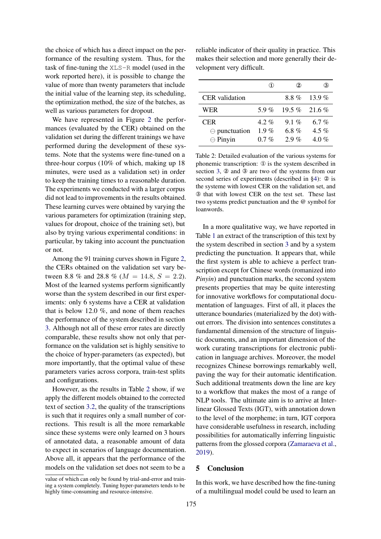the choice of which has a direct impact on the performance of the resulting system. Thus, for the task of fine-tuning the XLS-R model (used in the work reported here), it is possible to change the value of more than twenty parameters that include the initial value of the learning step, its scheduling, the optimization method, the size of the batches, as well as various parameters for dropout.

We have represented in Figure 2 the performances (evaluated by the CER) obtained on the validation set during the different trainings we have performed during the development of these systems. Note that the systems were fine-tuned on a three-hour corpus (10% of which, making up 18 minutes, were used as a validation set) in order to keep the training times to a reasonable duration. The experiments we conducted with a larger corpus did not lead to improvements in the results obtained. These learning curves were obtained by varying the various parameters for optimization (training step, values for dropout, choice of the training set), but also by trying various experimental conditions: in particular, by taking into account the punctuation or not.

Among the 91 training curves shown in Figure 2, the CERs obtained on the validation set vary between 8.8 % and 28.8 % ( $M = 14.8$ ,  $S = 2.2$ ). Most of the learned systems perform significantly worse than the system described in our first experiments: only 6 systems have a CER at validation that is below 12.0 %, and none of them reaches the performance of the system described in section 3. Although not all of these error rates are directly comparable, these results show not only that performance on the validation set is highly sensitive to the choice of hyper-parameters (as expected), but more importantly, that the optimal value of these parameters varies across corpora, train-test splits and configurations.

However, as the results in Table 2 show, if we apply the different models obtained to the corrected text of section 3.2, the quality of the transcriptions is such that it requires only a small number of corrections. This result is all the more remarkable since these systems were only learned on 3 hours of annotated data, a reasonable amount of data to expect in scenarios of language documentation. Above all, it appears that the performance of the models on the validation set does not seem to be a

reliable indicator of their quality in practice. This makes their selection and more generally their development very difficult.

|                                                         |                               | $\bf{2)}$                     | 3                         |
|---------------------------------------------------------|-------------------------------|-------------------------------|---------------------------|
| <b>CER</b> validation                                   |                               |                               | $8.8\%$ 13.9%             |
| WER                                                     | 5.9%                          |                               | $19.5\%$ 21.6%            |
| <b>CER</b><br>$\ominus$ punctuation<br>$\ominus$ Pinyin | $4.2\%$<br>1.9 $%$<br>$0.7\%$ | $9.1\%$<br>6.8 $%$<br>$2.9\%$ | 6.7 %<br>4.5 %<br>$4.0\%$ |

Table 2: Detailed evaluation of the various systems for phonemic transcription: ① is the system described in section 3, ② and ③ are two of the systems from our second series of experiments (described in §4): ② is the systeme with lowest CER on the validation set, and ③ that with lowest CER on the test set. These last two systems predict punctuation and the @ symbol for loanwords.

In a more qualitative way, we have reported in Table 1 an extract of the transcription of this text by the system described in section 3 and by a system predicting the punctuation. It appears that, while the first system is able to achieve a perfect transcription except for Chinese words (romanized into *Pinyin*) and punctuation marks, the second system presents properties that may be quite interesting for innovative workflows for computational documentation of languages. First of all, it places the utterance boundaries (materialized by the dot) without errors. The division into sentences constitutes a fundamental dimension of the structure of linguistic documents, and an important dimension of the work curating transcriptions for electronic publication in language archives. Moreover, the model recognizes Chinese borrowings remarkably well, paving the way for their automatic identification. Such additional treatments down the line are key to a workflow that makes the most of a range of NLP tools. The ultimate aim is to arrive at Interlinear Glossed Texts (IGT), with annotation down to the level of the morpheme; in turn, IGT corpora have considerable usefulness in research, including possibilities for automatically inferring linguistic patterns from the glossed corpora (Zamaraeva et al., 2019).

## 5 Conclusion

In this work, we have described how the fine-tuning of a multilingual model could be used to learn an

value of which can only be found by trial-and-error and training a system completely. Tuning hyper-parameters tends to be highly time-consuming and resource-intensive.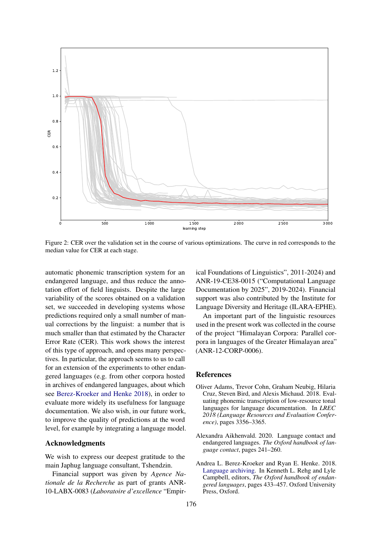

Figure 2: CER over the validation set in the course of various optimizations. The curve in red corresponds to the median value for CER at each stage.

automatic phonemic transcription system for an endangered language, and thus reduce the annotation effort of field linguists. Despite the large variability of the scores obtained on a validation set, we succeeded in developing systems whose predictions required only a small number of manual corrections by the linguist: a number that is much smaller than that estimated by the Character Error Rate (CER). This work shows the interest of this type of approach, and opens many perspectives. In particular, the approach seems to us to call for an extension of the experiments to other endangered languages (e.g. from other corpora hosted in archives of endangered languages, about which see Berez-Kroeker and Henke 2018), in order to evaluate more widely its usefulness for language documentation. We also wish, in our future work, to improve the quality of predictions at the word level, for example by integrating a language model.

#### Acknowledgments

We wish to express our deepest gratitude to the main Japhug language consultant, Tshendzin.

Financial support was given by *Agence Nationale de la Recherche* as part of grants ANR-10-LABX-0083 (*Laboratoire d'excellence* "Empirical Foundations of Linguistics", 2011-2024) and ANR-19-CE38-0015 ("Computational Language Documentation by 2025", 2019-2024). Financial support was also contributed by the Institute for Language Diversity and Heritage (ILARA-EPHE).

An important part of the linguistic resources used in the present work was collected in the course of the project "Himalayan Corpora: Parallel corpora in languages of the Greater Himalayan area" (ANR-12-CORP-0006).

#### References

- Oliver Adams, Trevor Cohn, Graham Neubig, Hilaria Cruz, Steven Bird, and Alexis Michaud. 2018. Evaluating phonemic transcription of low-resource tonal languages for language documentation. In *LREC 2018 (Language Resources and Evaluation Conference)*, pages 3356–3365.
- Alexandra Aikhenvald. 2020. Language contact and endangered languages. *The Oxford handbook of language contact*, pages 241–260.
- Andrea L. Berez-Kroeker and Ryan E. Henke. 2018. Language archiving. In Kenneth L. Rehg and Lyle Campbell, editors, *The Oxford handbook of endangered languages*, pages 433–457. Oxford University Press, Oxford.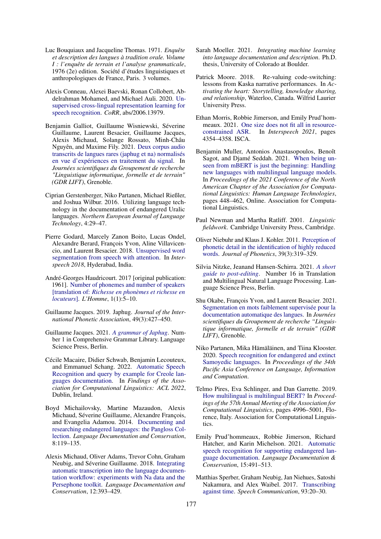- Luc Bouquiaux and Jacqueline Thomas. 1971. *Enquête et description des langues à tradition orale. Volume I : l'enquête de terrain et l'analyse grammaticale*, 1976 (2e) edition. Société d'études linguistiques et anthropologiques de France, Paris. 3 volumes.
- Alexis Conneau, Alexei Baevski, Ronan Collobert, Abdelrahman Mohamed, and Michael Auli. 2020. Unsupervised cross-lingual representation learning for speech recognition. *CoRR*, abs/2006.13979.
- Benjamin Galliot, Guillaume Wisniewski, Séverine Guillaume, Laurent Besacier, Guillaume Jacques, Alexis Michaud, Solange Rossato, Minh-Châu Nguyên, and Maxime Fily. 2021. Deux corpus audio transcrits de langues rares (japhug et na) normalisés en vue d'expériences en traitement du signal. In *Journées scientifiques du Groupement de recherche "Linguistique informatique, formelle et de terrain" (GDR LIFT)*, Grenoble.
- Ciprian Gerstenberger, Niko Partanen, Michael Rießler, and Joshua Wilbur. 2016. Utilizing language technology in the documentation of endangered Uralic languages. *Northern European Journal of Language Technology*, 4:29–47.
- Pierre Godard, Marcely Zanon Boito, Lucas Ondel, Alexandre Berard, François Yvon, Aline Villavicencio, and Laurent Besacier. 2018. Unsupervised word segmentation from speech with attention. In *Interspeech 2018*, Hyderabad, India.
- André-Georges Haudricourt. 2017 [original publication: 1961]. Number of phonemes and number of speakers [translation of: *Richesse en phonèmes et richesse en locuteurs*]. *L'Homme*, 1(1):5–10.
- Guillaume Jacques. 2019. Japhug. *Journal of the International Phonetic Association*, 49(3):427–450.
- Guillaume Jacques. 2021. *A grammar of Japhug*. Number 1 in Comprehensive Grammar Library. Language Science Press, Berlin.
- Cécile Macaire, Didier Schwab, Benjamin Lecouteux, and Emmanuel Schang. 2022. Automatic Speech Recognition and query by example for Creole languages documentation. In *Findings of the Association for Computational Linguistics: ACL 2022*, Dublin, Ireland.
- Boyd Michailovsky, Martine Mazaudon, Alexis Michaud, Séverine Guillaume, Alexandre François, and Evangelia Adamou. 2014. Documenting and researching endangered languages: the Pangloss Collection. *Language Documentation and Conservation*, 8:119–135.
- Alexis Michaud, Oliver Adams, Trevor Cohn, Graham Neubig, and Séverine Guillaume. 2018. Integrating automatic transcription into the language documentation workflow: experiments with Na data and the Persephone toolkit. *Language Documentation and Conservation*, 12:393–429.
- Sarah Moeller. 2021. *Integrating machine learning into language documentation and description*. Ph.D. thesis, University of Colorado at Boulder.
- Patrick Moore. 2018. Re-valuing code-switching: lessons from Kaska narrative performances. In *Activating the heart: Storytelling, knowledge sharing, and relationship*, Waterloo, Canada. Wilfrid Laurier University Press.
- Ethan Morris, Robbie Jimerson, and Emily Prud'hommeaux. 2021. One size does not fit all in resourceconstrained ASR. In *Interspeech 2021*, pages 4354–4358. ISCA.
- Benjamin Muller, Antonios Anastasopoulos, Benoît Sagot, and Djamé Seddah. 2021. When being unseen from mBERT is just the beginning: Handling new languages with multilingual language models. In *Proceedings of the 2021 Conference of the North American Chapter of the Association for Computational Linguistics: Human Language Technologies*, pages 448–462, Online. Association for Computational Linguistics.
- Paul Newman and Martha Ratliff. 2001. *Linguistic fieldwork*. Cambridge University Press, Cambridge.
- Oliver Niebuhr and Klaus J. Kohler. 2011. Perception of phonetic detail in the identification of highly reduced words. *Journal of Phonetics*, 39(3):319–329.
- Silvia Nitzke, Jeanand Hansen-Schirra. 2021. *A short guide to post-editing*. Number 16 in Translation and Multilingual Natural Language Processing. Language Science Press, Berlin.
- Shu Okabe, François Yvon, and Laurent Besacier. 2021. Segmentation en mots faiblement supervisée pour la documentation automatique des langues. In *Journées scientifiques du Groupement de recherche "Linguistique informatique, formelle et de terrain" (GDR LIFT)*, Grenoble.
- Niko Partanen, Mika Hämäläinen, and Tiina Klooster. 2020. Speech recognition for endangered and extinct Samoyedic languages. In *Proceedings of the 34th Pacific Asia Conference on Language, Information and Computation*.
- Telmo Pires, Eva Schlinger, and Dan Garrette. 2019. How multilingual is multilingual BERT? In *Proceedings of the 57th Annual Meeting of the Association for Computational Linguistics*, pages 4996–5001, Florence, Italy. Association for Computational Linguistics.
- Emily Prud'hommeaux, Robbie Jimerson, Richard Hatcher, and Karin Michelson. 2021. Automatic speech recognition for supporting endangered language documentation. *Language Documentation & Conservation*, 15:491–513.
- Matthias Sperber, Graham Neubig, Jan Niehues, Satoshi Nakamura, and Alex Waibel. 2017. Transcribing against time. *Speech Communication*, 93:20–30.